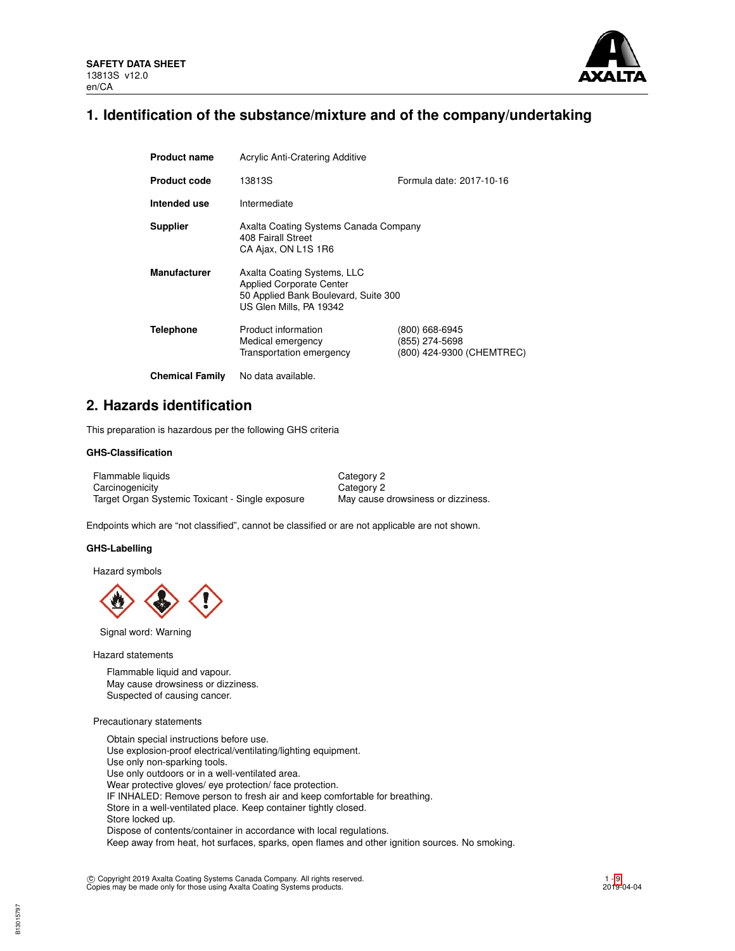

## **1. Identification of the substance/mixture and of the company/undertaking**

| <b>Product name</b>    | <b>Acrylic Anti-Cratering Additive</b>                                                                                            |                                                               |  |  |
|------------------------|-----------------------------------------------------------------------------------------------------------------------------------|---------------------------------------------------------------|--|--|
| <b>Product code</b>    | 13813S                                                                                                                            | Formula date: 2017-10-16                                      |  |  |
| Intended use           | Intermediate                                                                                                                      |                                                               |  |  |
| <b>Supplier</b>        | Axalta Coating Systems Canada Company<br>408 Fairall Street<br>CA Ajax, ON L1S 1R6                                                |                                                               |  |  |
| <b>Manufacturer</b>    | Axalta Coating Systems, LLC<br><b>Applied Corporate Center</b><br>50 Applied Bank Boulevard, Suite 300<br>US Glen Mills, PA 19342 |                                                               |  |  |
| <b>Telephone</b>       | Product information<br>Medical emergency<br>Transportation emergency                                                              | (800) 668-6945<br>(855) 274-5698<br>(800) 424-9300 (CHEMTREC) |  |  |
| <b>Chemical Family</b> | No data available.                                                                                                                |                                                               |  |  |

## **2. Hazards identification**

This preparation is hazardous per the following GHS criteria

## **GHS-Classification**

| Flammable liquids                                | Category 2                         |
|--------------------------------------------------|------------------------------------|
| Carcinogenicity                                  | Category 2                         |
| Target Organ Systemic Toxicant - Single exposure | May cause drowsiness or dizziness. |

Endpoints which are "not classified", cannot be classified or are not applicable are not shown.

#### **GHS-Labelling**

Hazard symbols



Signal word: Warning

Hazard statements

Flammable liquid and vapour. May cause drowsiness or dizziness. Suspected of causing cancer.

## Precautionary statements

Obtain special instructions before use. Use explosion-proof electrical/ventilating/lighting equipment. Use only non-sparking tools. Use only outdoors or in a well-ventilated area. Wear protective gloves/ eye protection/ face protection. IF INHALED: Remove person to fresh air and keep comfortable for breathing. Store in a well-ventilated place. Keep container tightly closed. Store locked up. Dispose of contents/container in accordance with local regulations. Keep away from heat, hot surfaces, sparks, open flames and other ignition sources. No smoking.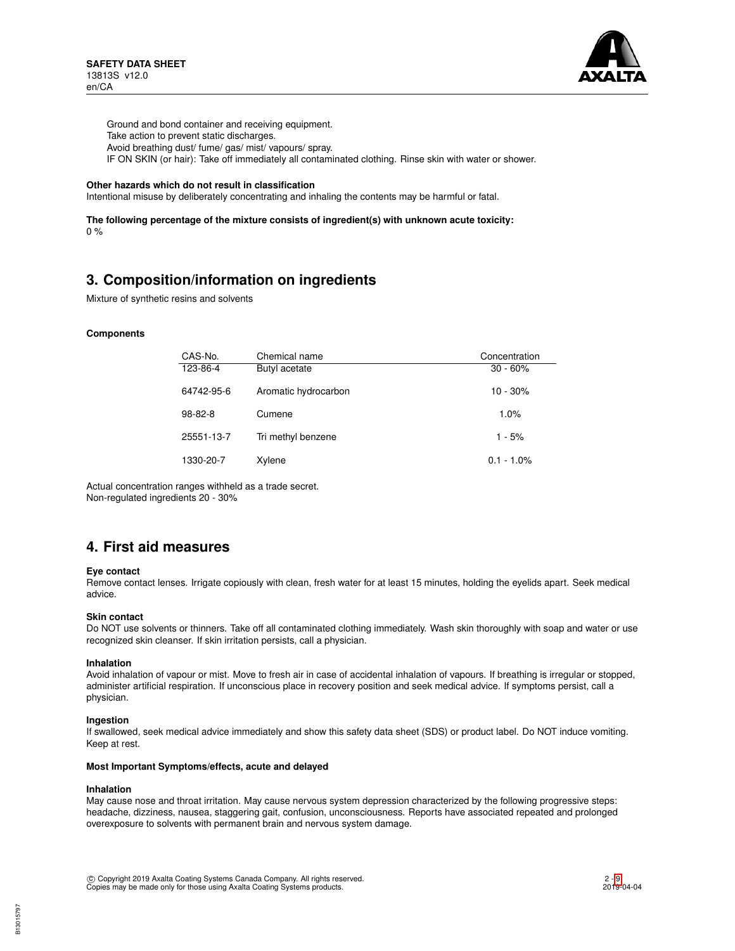

Ground and bond container and receiving equipment. Take action to prevent static discharges. Avoid breathing dust/ fume/ gas/ mist/ vapours/ spray. IF ON SKIN (or hair): Take off immediately all contaminated clothing. Rinse skin with water or shower.

#### **Other hazards which do not result in classification**

Intentional misuse by deliberately concentrating and inhaling the contents may be harmful or fatal.

**The following percentage of the mixture consists of ingredient(s) with unknown acute toxicity:** 0 %

## **3. Composition/information on ingredients**

Mixture of synthetic resins and solvents

#### **Components**

| CAS-No.    | Chemical name        | Concentration |
|------------|----------------------|---------------|
| 123-86-4   | Butyl acetate        | $30 - 60%$    |
| 64742-95-6 | Aromatic hydrocarbon | $10 - 30%$    |
| $98-82-8$  | Cumene               | 1.0%          |
| 25551-13-7 | Tri methyl benzene   | $1 - 5%$      |
| 1330-20-7  | Xylene               | $0.1 - 1.0\%$ |

Actual concentration ranges withheld as a trade secret. Non-regulated ingredients 20 - 30%

## **4. First aid measures**

#### **Eye contact**

Remove contact lenses. Irrigate copiously with clean, fresh water for at least 15 minutes, holding the eyelids apart. Seek medical advice.

#### **Skin contact**

Do NOT use solvents or thinners. Take off all contaminated clothing immediately. Wash skin thoroughly with soap and water or use recognized skin cleanser. If skin irritation persists, call a physician.

#### **Inhalation**

Avoid inhalation of vapour or mist. Move to fresh air in case of accidental inhalation of vapours. If breathing is irregular or stopped, administer artificial respiration. If unconscious place in recovery position and seek medical advice. If symptoms persist, call a physician.

#### **Ingestion**

If swallowed, seek medical advice immediately and show this safety data sheet (SDS) or product label. Do NOT induce vomiting. Keep at rest.

#### **Most Important Symptoms/effects, acute and delayed**

#### **Inhalation**

B13015797

May cause nose and throat irritation. May cause nervous system depression characterized by the following progressive steps: headache, dizziness, nausea, staggering gait, confusion, unconsciousness. Reports have associated repeated and prolonged overexposure to solvents with permanent brain and nervous system damage.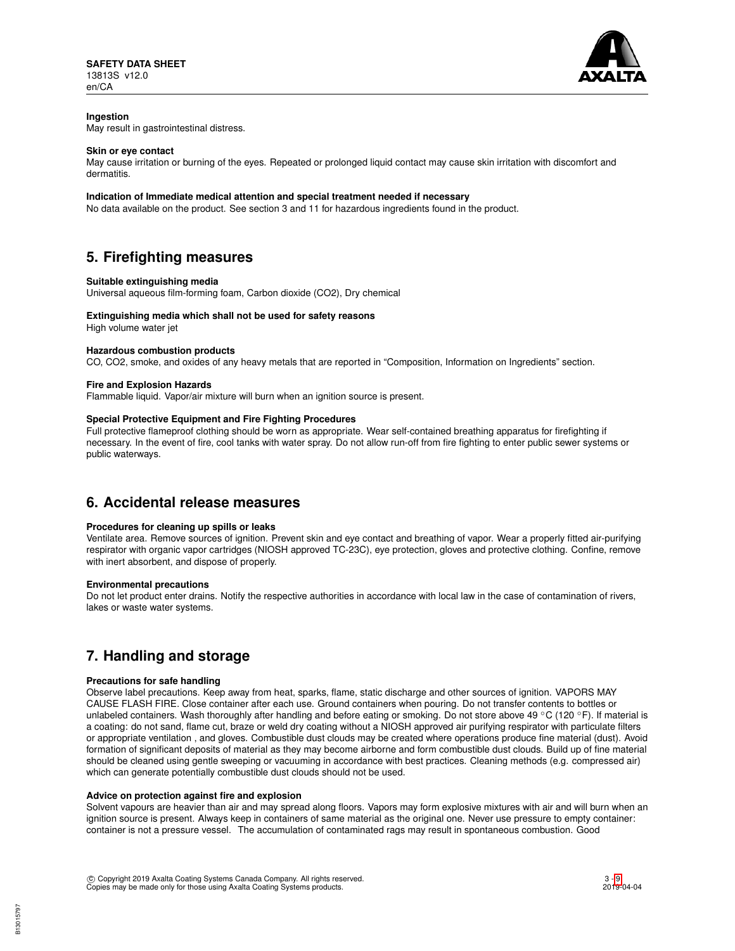

## **Ingestion**

May result in gastrointestinal distress.

### **Skin or eye contact**

May cause irritation or burning of the eyes. Repeated or prolonged liquid contact may cause skin irritation with discomfort and dermatitis.

## **Indication of Immediate medical attention and special treatment needed if necessary**

No data available on the product. See section 3 and 11 for hazardous ingredients found in the product.

## **5. Firefighting measures**

#### **Suitable extinguishing media**

Universal aqueous film-forming foam, Carbon dioxide (CO2), Dry chemical

#### **Extinguishing media which shall not be used for safety reasons**

High volume water jet

#### **Hazardous combustion products**

CO, CO2, smoke, and oxides of any heavy metals that are reported in "Composition, Information on Ingredients" section.

#### **Fire and Explosion Hazards**

Flammable liquid. Vapor/air mixture will burn when an ignition source is present.

## **Special Protective Equipment and Fire Fighting Procedures**

Full protective flameproof clothing should be worn as appropriate. Wear self-contained breathing apparatus for firefighting if necessary. In the event of fire, cool tanks with water spray. Do not allow run-off from fire fighting to enter public sewer systems or public waterways.

## **6. Accidental release measures**

## **Procedures for cleaning up spills or leaks**

Ventilate area. Remove sources of ignition. Prevent skin and eye contact and breathing of vapor. Wear a properly fitted air-purifying respirator with organic vapor cartridges (NIOSH approved TC-23C), eye protection, gloves and protective clothing. Confine, remove with inert absorbent, and dispose of properly.

#### **Environmental precautions**

Do not let product enter drains. Notify the respective authorities in accordance with local law in the case of contamination of rivers, lakes or waste water systems.

# **7. Handling and storage**

## **Precautions for safe handling**

Observe label precautions. Keep away from heat, sparks, flame, static discharge and other sources of ignition. VAPORS MAY CAUSE FLASH FIRE. Close container after each use. Ground containers when pouring. Do not transfer contents to bottles or unlabeled containers. Wash thoroughly after handling and before eating or smoking. Do not store above 49 °C (120 °F). If material is a coating: do not sand, flame cut, braze or weld dry coating without a NIOSH approved air purifying respirator with particulate filters or appropriate ventilation , and gloves. Combustible dust clouds may be created where operations produce fine material (dust). Avoid formation of significant deposits of material as they may become airborne and form combustible dust clouds. Build up of fine material should be cleaned using gentle sweeping or vacuuming in accordance with best practices. Cleaning methods (e.g. compressed air) which can generate potentially combustible dust clouds should not be used.

#### **Advice on protection against fire and explosion**

Solvent vapours are heavier than air and may spread along floors. Vapors may form explosive mixtures with air and will burn when an ignition source is present. Always keep in containers of same material as the original one. Never use pressure to empty container: container is not a pressure vessel. The accumulation of contaminated rags may result in spontaneous combustion. Good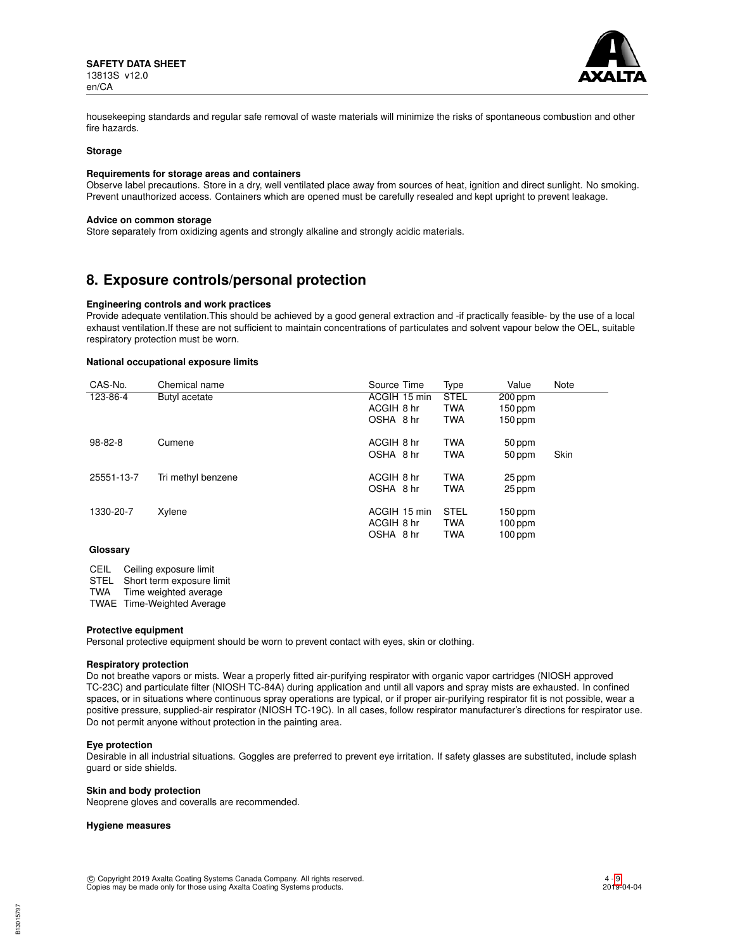

housekeeping standards and regular safe removal of waste materials will minimize the risks of spontaneous combustion and other fire hazards.

#### **Storage**

#### **Requirements for storage areas and containers**

Observe label precautions. Store in a dry, well ventilated place away from sources of heat, ignition and direct sunlight. No smoking. Prevent unauthorized access. Containers which are opened must be carefully resealed and kept upright to prevent leakage.

#### **Advice on common storage**

Store separately from oxidizing agents and strongly alkaline and strongly acidic materials.

## **8. Exposure controls/personal protection**

#### **Engineering controls and work practices**

Provide adequate ventilation.This should be achieved by a good general extraction and -if practically feasible- by the use of a local exhaust ventilation.If these are not sufficient to maintain concentrations of particulates and solvent vapour below the OEL, suitable respiratory protection must be worn.

## **National occupational exposure limits**

| CAS-No.    | Chemical name      | Source Time  | Type        | Value     | Note |
|------------|--------------------|--------------|-------------|-----------|------|
| 123-86-4   | Butyl acetate      | ACGIH 15 min | <b>STEL</b> | $200$ ppm |      |
|            |                    | ACGIH 8 hr   | <b>TWA</b>  | 150 ppm   |      |
|            |                    | OSHA 8 hr    | <b>TWA</b>  | 150 ppm   |      |
| 98-82-8    | Cumene             | ACGIH 8 hr   | <b>TWA</b>  | 50 ppm    |      |
|            |                    | OSHA 8 hr    | <b>TWA</b>  | 50 ppm    | Skin |
| 25551-13-7 | Tri methyl benzene | ACGIH 8 hr   | <b>TWA</b>  | 25 ppm    |      |
|            |                    | OSHA 8 hr    | <b>TWA</b>  | 25 ppm    |      |
| 1330-20-7  | Xylene             | ACGIH 15 min | <b>STEL</b> | 150 ppm   |      |
|            |                    | ACGIH 8 hr   | <b>TWA</b>  | $100$ ppm |      |
|            |                    | OSHA 8 hr    | <b>TWA</b>  | $100$ ppm |      |
|            |                    |              |             |           |      |

#### **Glossary**

CEIL Ceiling exposure limit

STEL Short term exposure limit<br>TWA Time weighted average

Time weighted average

TWAE Time-Weighted Average

#### **Protective equipment**

Personal protective equipment should be worn to prevent contact with eyes, skin or clothing.

#### **Respiratory protection**

Do not breathe vapors or mists. Wear a properly fitted air-purifying respirator with organic vapor cartridges (NIOSH approved TC-23C) and particulate filter (NIOSH TC-84A) during application and until all vapors and spray mists are exhausted. In confined spaces, or in situations where continuous spray operations are typical, or if proper air-purifying respirator fit is not possible, wear a positive pressure, supplied-air respirator (NIOSH TC-19C). In all cases, follow respirator manufacturer's directions for respirator use. Do not permit anyone without protection in the painting area.

#### **Eye protection**

Desirable in all industrial situations. Goggles are preferred to prevent eye irritation. If safety glasses are substituted, include splash guard or side shields.

#### **Skin and body protection**

Neoprene gloves and coveralls are recommended.

#### **Hygiene measures**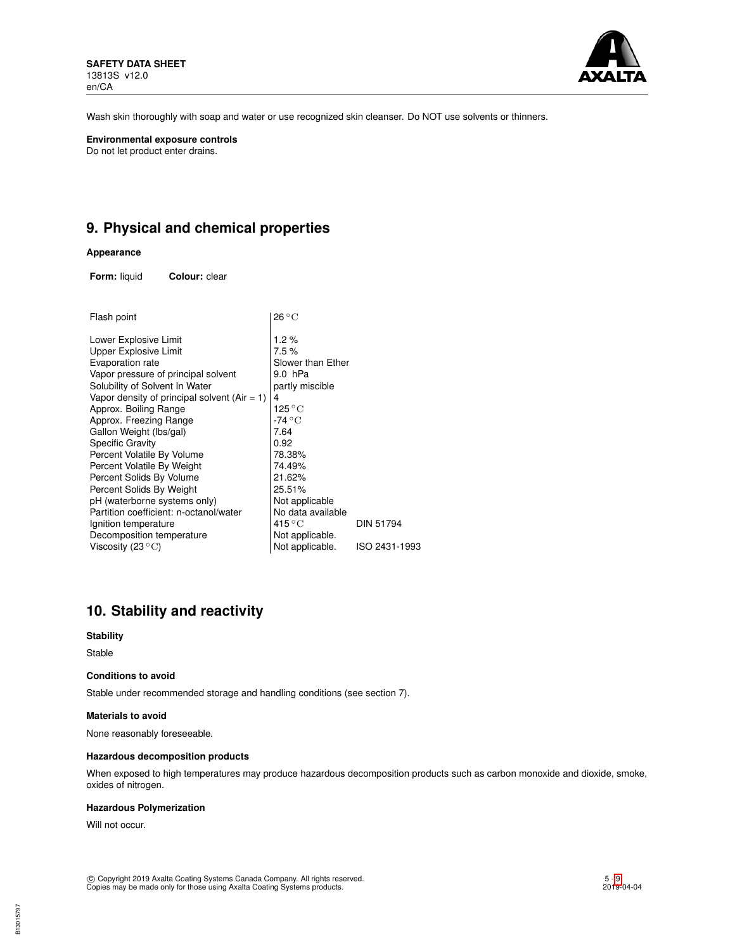

Wash skin thoroughly with soap and water or use recognized skin cleanser. Do NOT use solvents or thinners.

**Environmental exposure controls** Do not let product enter drains.

# **9. Physical and chemical properties**

## **Appearance**

**Form:** liquid **Colour:** clear

| Flash point                                     | $26^{\circ}$ C        |               |
|-------------------------------------------------|-----------------------|---------------|
| Lower Explosive Limit                           | 1.2%                  |               |
| Upper Explosive Limit                           | 7.5%                  |               |
| Evaporation rate                                | Slower than Ether     |               |
| Vapor pressure of principal solvent             | 9.0 hPa               |               |
| Solubility of Solvent In Water                  | partly miscible       |               |
| Vapor density of principal solvent (Air $= 1$ ) | 4                     |               |
| Approx. Boiling Range                           | 125 $^{\circ}{\rm C}$ |               |
| Approx. Freezing Range                          | -74 °C                |               |
| Gallon Weight (lbs/gal)                         | 7.64                  |               |
| <b>Specific Gravity</b>                         | 0.92                  |               |
| Percent Volatile By Volume                      | 78.38%                |               |
| Percent Volatile By Weight                      | 74.49%                |               |
| Percent Solids By Volume                        | 21.62%                |               |
| Percent Solids By Weight                        | 25.51%                |               |
| pH (waterborne systems only)                    | Not applicable        |               |
| Partition coefficient: n-octanol/water          | No data available     |               |
| Ignition temperature                            | $415^{\circ}$ C       | DIN 51794     |
| Decomposition temperature                       | Not applicable.       |               |
| Viscosity (23 $^{\circ}$ C)                     | Not applicable.       | ISO 2431-1993 |
|                                                 |                       |               |

# **10. Stability and reactivity**

#### **Stability**

Stable

#### **Conditions to avoid**

Stable under recommended storage and handling conditions (see section 7).

#### **Materials to avoid**

None reasonably foreseeable.

#### **Hazardous decomposition products**

When exposed to high temperatures may produce hazardous decomposition products such as carbon monoxide and dioxide, smoke, oxides of nitrogen.

#### **Hazardous Polymerization**

Will not occur.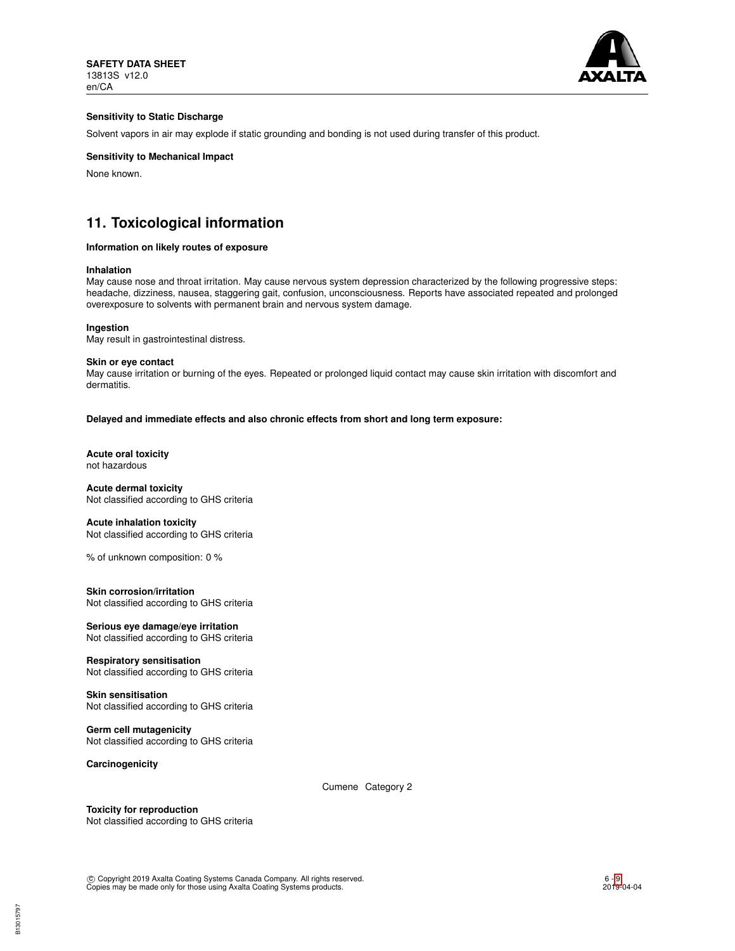

## **Sensitivity to Static Discharge**

Solvent vapors in air may explode if static grounding and bonding is not used during transfer of this product.

## **Sensitivity to Mechanical Impact**

None known.

# **11. Toxicological information**

#### **Information on likely routes of exposure**

#### **Inhalation**

May cause nose and throat irritation. May cause nervous system depression characterized by the following progressive steps: headache, dizziness, nausea, staggering gait, confusion, unconsciousness. Reports have associated repeated and prolonged overexposure to solvents with permanent brain and nervous system damage.

**Ingestion**

May result in gastrointestinal distress.

#### **Skin or eye contact**

May cause irritation or burning of the eyes. Repeated or prolonged liquid contact may cause skin irritation with discomfort and dermatitis.

**Delayed and immediate effects and also chronic effects from short and long term exposure:**

**Acute oral toxicity** not hazardous

**Acute dermal toxicity** Not classified according to GHS criteria

**Acute inhalation toxicity** Not classified according to GHS criteria

% of unknown composition: 0 %

**Skin corrosion/irritation** Not classified according to GHS criteria

**Serious eye damage/eye irritation** Not classified according to GHS criteria

**Respiratory sensitisation** Not classified according to GHS criteria

**Skin sensitisation** Not classified according to GHS criteria

**Germ cell mutagenicity** Not classified according to GHS criteria

**Carcinogenicity**

Cumene Category 2

**Toxicity for reproduction** Not classified according to GHS criteria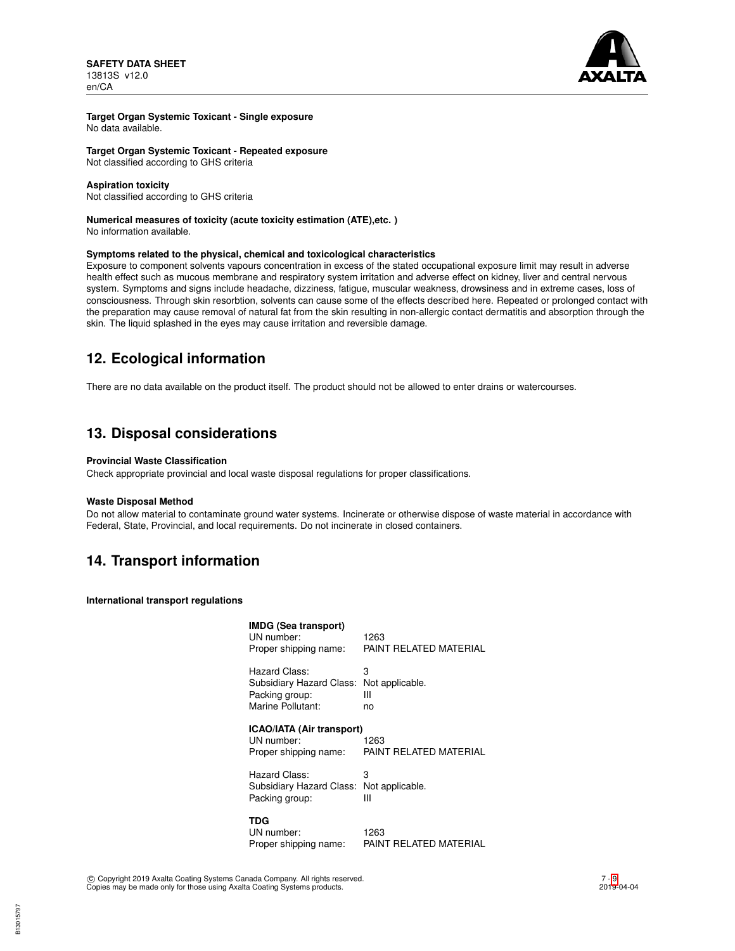

## **Target Organ Systemic Toxicant - Single exposure**

No data available.

**Target Organ Systemic Toxicant - Repeated exposure**

Not classified according to GHS criteria

### **Aspiration toxicity**

Not classified according to GHS criteria

## **Numerical measures of toxicity (acute toxicity estimation (ATE),etc. )**

No information available.

## **Symptoms related to the physical, chemical and toxicological characteristics**

Exposure to component solvents vapours concentration in excess of the stated occupational exposure limit may result in adverse health effect such as mucous membrane and respiratory system irritation and adverse effect on kidney, liver and central nervous system. Symptoms and signs include headache, dizziness, fatigue, muscular weakness, drowsiness and in extreme cases, loss of consciousness. Through skin resorbtion, solvents can cause some of the effects described here. Repeated or prolonged contact with the preparation may cause removal of natural fat from the skin resulting in non-allergic contact dermatitis and absorption through the skin. The liquid splashed in the eyes may cause irritation and reversible damage.

# **12. Ecological information**

There are no data available on the product itself. The product should not be allowed to enter drains or watercourses.

# **13. Disposal considerations**

## **Provincial Waste Classification**

Check appropriate provincial and local waste disposal regulations for proper classifications.

## **Waste Disposal Method**

Do not allow material to contaminate ground water systems. Incinerate or otherwise dispose of waste material in accordance with Federal, State, Provincial, and local requirements. Do not incinerate in closed containers.

# **14. Transport information**

**International transport regulations**

| <b>IMDG (Sea transport)</b><br>UN number:<br>Proper shipping name:               | 1263<br>PAINT RELATED MATERIAL  |
|----------------------------------------------------------------------------------|---------------------------------|
| Hazard Class:<br>Subsidiary Hazard Class:<br>Packing group:<br>Marine Pollutant: | 3<br>Not applicable.<br>Ш<br>no |
| ICAO/IATA (Air transport)<br>UN number:<br>Proper shipping name:                 | 1263<br>PAINT RELATED MATERIAL  |
| Hazard Class:<br>Subsidiary Hazard Class:<br>Packing group:                      | 3<br>Not applicable.<br>Ш       |
| <b>TDG</b><br>UN number:<br>Proper shipping name:                                | 1263<br>PAINT RELATED MATERIAL  |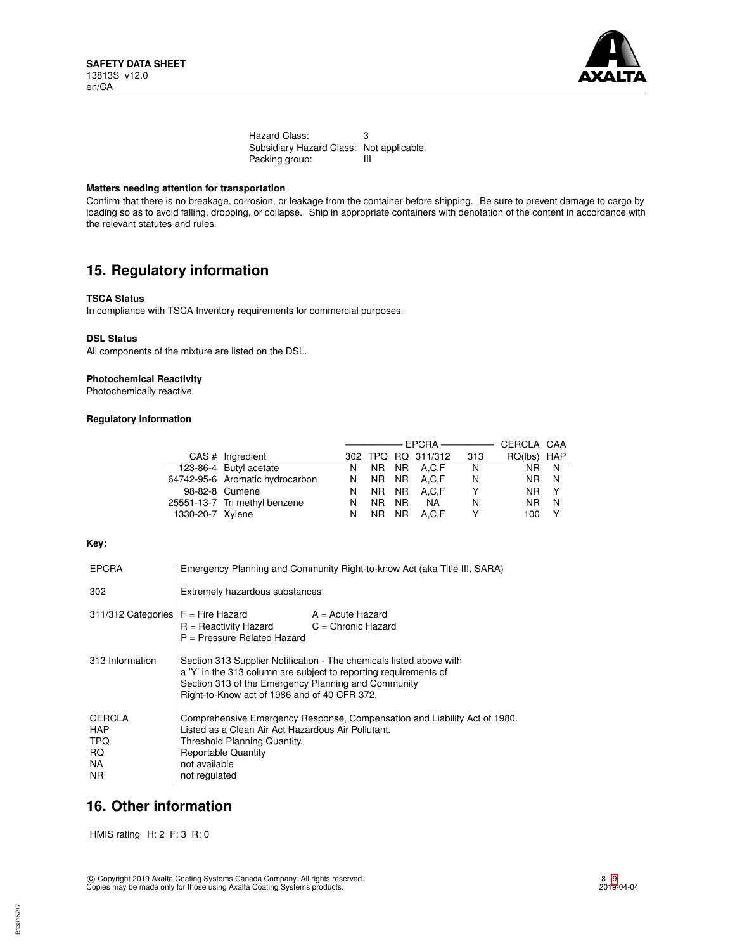

Hazard Class: 3 Subsidiary Hazard Class: Not applicable.<br>Packing group: III Packing group:

## **Matters needing attention for transportation**

Confirm that there is no breakage, corrosion, or leakage from the container before shipping. Be sure to prevent damage to cargo by loading so as to avoid falling, dropping, or collapse. Ship in appropriate containers with denotation of the content in accordance with the relevant statutes and rules.

# **15. Regulatory information**

### **TSCA Status**

In compliance with TSCA Inventory requirements for commercial purposes.

#### **DSL Status**

All components of the mixture are listed on the DSL.

## **Photochemical Reactivity**

Photochemically reactive

## **Regulatory information**

|                  |                                 |   |      |           | ———————————————————— |     | CERCLA CAA  |              |
|------------------|---------------------------------|---|------|-----------|----------------------|-----|-------------|--------------|
|                  | CAS # Ingredient                |   |      |           | 302 TPQ RQ 311/312   | 313 | RQ(lbs) HAP |              |
|                  | 123-86-4 Butyl acetate          |   |      |           | N NR NR A.C.F        | N.  | NR N        |              |
|                  | 64742-95-6 Aromatic hydrocarbon | N | NR I |           | NR A.C.F             | N   | NR.         | - N          |
|                  | 98-82-8 Cumene                  | N |      |           | NR NR A.C.F          | Υ   | NR.         | $\mathsf{Y}$ |
|                  | 25551-13-7 Tri methyl benzene   | N | NR.  | <b>NR</b> | <b>NA</b>            | N   | NR.         | N            |
| 1330-20-7 Xylene |                                 | N | NR I |           | NR A.C.F             | Y   | 100         |              |

## **Key:**

| <b>EPCRA</b>                                                   | Emergency Planning and Community Right-to-know Act (aka Title III, SARA)                                                                                                                                                                       |                    |  |
|----------------------------------------------------------------|------------------------------------------------------------------------------------------------------------------------------------------------------------------------------------------------------------------------------------------------|--------------------|--|
| 302                                                            | Extremely hazardous substances                                                                                                                                                                                                                 |                    |  |
| $311/312$ Categories $F =$ Fire Hazard                         | $R =$ Reactivity Hazard $C =$ Chronic Hazard<br>P = Pressure Related Hazard                                                                                                                                                                    | $A = Acute$ Hazard |  |
| 313 Information                                                | Section 313 Supplier Notification - The chemicals listed above with<br>a 'Y' in the 313 column are subject to reporting requirements of<br>Section 313 of the Emergency Planning and Community<br>Right-to-Know act of 1986 and of 40 CFR 372. |                    |  |
| <b>CERCLA</b><br><b>HAP</b><br><b>TPQ</b><br>RQ.<br>NA.<br>NR. | Comprehensive Emergency Response, Compensation and Liability Act of 1980.<br>Listed as a Clean Air Act Hazardous Air Pollutant.<br>Threshold Planning Quantity.<br><b>Reportable Quantity</b><br>not available<br>not regulated                |                    |  |

## **16. Other information**

HMIS rating H: 2 F: 3 R: 0